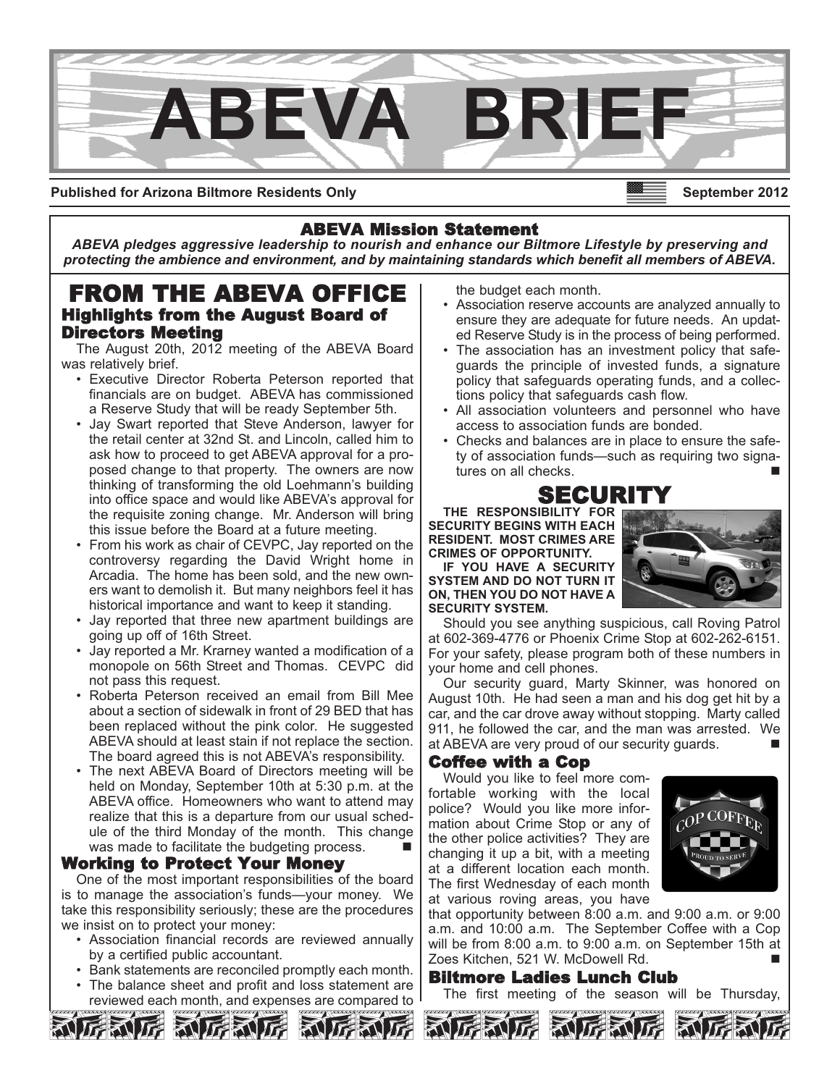

**Published for Arizona Biltmore Residents Only**

# ABEVA Mission Statement

*ABEVA pledges aggressive leadership to nourish and enhance our Biltmore Lifestyle by preserving and protecting the ambience and environment, and by maintaining standards which benefit all members of ABEVA.*

# FROM THE ABEVA OFFICE Highlights from the August Board of Directors Meeting

The August 20th, 2012 meeting of the ABEVA Board was relatively brief.

- Executive Director Roberta Peterson reported that financials are on budget. ABEVA has commissioned a Reserve Study that will be ready September 5th.
- Jay Swart reported that Steve Anderson, lawyer for the retail center at 32nd St. and Lincoln, called him to ask how to proceed to get ABEVA approval for a proposed change to that property. The owners are now thinking of transforming the old Loehmann's building into office space and would like ABEVA's approval for the requisite zoning change. Mr. Anderson will bring this issue before the Board at a future meeting.
- From his work as chair of CEVPC, Jay reported on the controversy regarding the David Wright home in Arcadia. The home has been sold, and the new owners want to demolish it. But many neighbors feel it has historical importance and want to keep it standing.
- Jay reported that three new apartment buildings are going up off of 16th Street.
- Jay reported a Mr. Krarney wanted a modification of a monopole on 56th Street and Thomas. CEVPC did not pass this request.
- Roberta Peterson received an email from Bill Mee about a section of sidewalk in front of 29 BED that has been replaced without the pink color. He suggested ABEVA should at least stain if not replace the section. The board agreed this is not ABEVA's responsibility.
- The next ABEVA Board of Directors meeting will be held on Monday, September 10th at 5:30 p.m. at the ABEVA office. Homeowners who want to attend may realize that this is a departure from our usual schedule of the third Monday of the month. This change was made to facilitate the budgeting process.

## Working to Protect Your Money

One of the most important responsibilities of the board is to manage the association's funds—your money. We take this responsibility seriously; these are the procedures we insist on to protect your money:

- Association financial records are reviewed annually by a certified public accountant.
- Bank statements are reconciled promptly each month.
- The balance sheet and profit and loss statement are reviewed each month, and expenses are compared to

the budget each month.

- Association reserve accounts are analyzed annually to ensure they are adequate for future needs. An updated Reserve Study is in the process of being performed.
- The association has an investment policy that safeguards the principle of invested funds, a signature policy that safeguards operating funds, and a collections policy that safeguards cash flow.
- All association volunteers and personnel who have access to association funds are bonded.
- Checks and balances are in place to ensure the safety of association funds—such as requiring two signatures on all checks.



**THE RESPONSIBILITY FOR SECURITY BEGINS WITH EACH RESIDENT. MOST CRIMES ARE CRIMES OF OPPORTUNITY.** 

**IF YOU HAVE A SECURITY SYSTEM AND DO NOT TURN IT ON, THEN YOU DO NOT HAVE A SECURITY SYSTEM.**



Should you see anything suspicious, call Roving Patrol at 602-369-4776 or Phoenix Crime Stop at 602-262-6151. For your safety, please program both of these numbers in your home and cell phones.

Our security guard, Marty Skinner, was honored on August 10th. He had seen a man and his dog get hit by a car, and the car drove away without stopping. Marty called 911, he followed the car, and the man was arrested. We at ABEVA are very proud of our security guards.

## Coffee with a Cop

Would you like to feel more comfortable working with the local police? Would you like more information about Crime Stop or any of the other police activities? They are changing it up a bit, with a meeting at a different location each month. The first Wednesday of each month at various roving areas, you have



that opportunity between 8:00 a.m. and 9:00 a.m. or 9:00 a.m. and 10:00 a.m. The September Coffee with a Cop will be from 8:00 a.m. to 9:00 a.m. on September 15th at Zoes Kitchen, 521 W. McDowell Rd.

## Biltmore Ladies Lunch Club

The first meeting of the season will be Thursday,





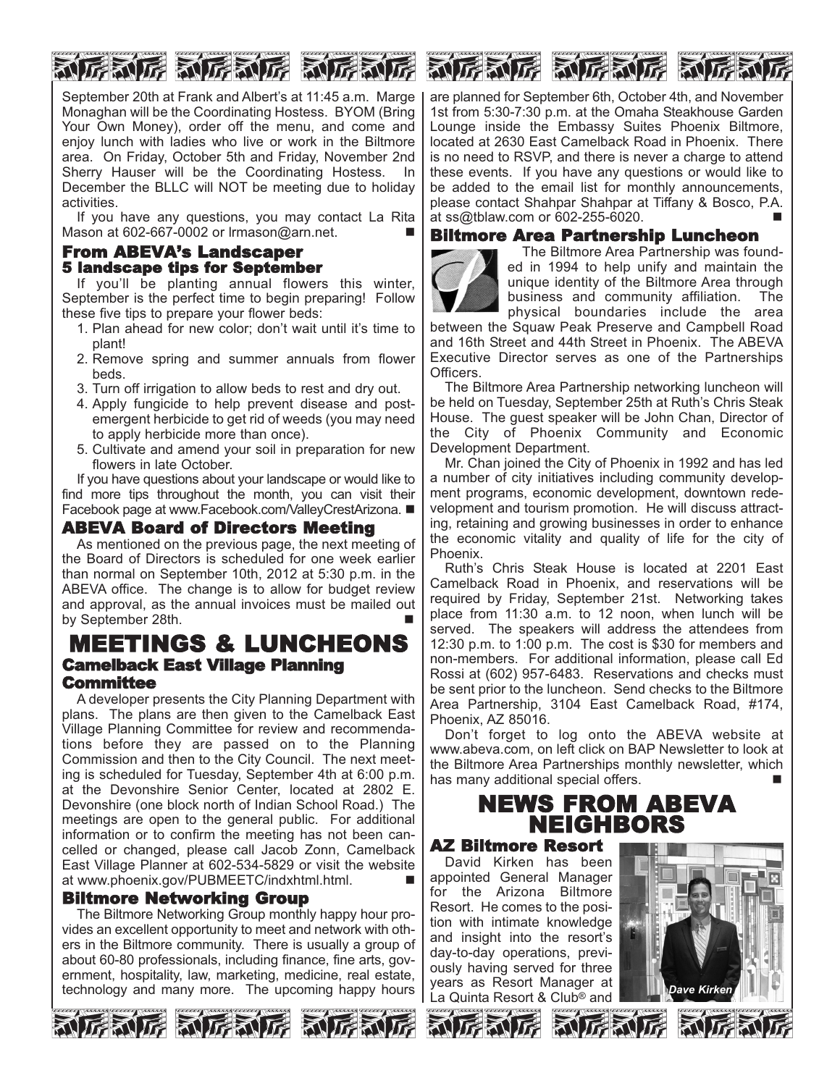

September 20th at Frank and Albert's at 11:45 a.m. Marge Monaghan will be the Coordinating Hostess. BYOM (Bring Your Own Money), order off the menu, and come and enjoy lunch with ladies who live or work in the Biltmore area. On Friday, October 5th and Friday, November 2nd Sherry Hauser will be the Coordinating Hostess. In December the BLLC will NOT be meeting due to holiday activities.

If you have any questions, you may contact La Rita Mason at 602-667-0002 or Irmason@arn.net.

# From ABEVA's Landscaper 5 landscape tips for September

If you'll be planting annual flowers this winter, September is the perfect time to begin preparing! Follow these five tips to prepare your flower beds:

- 1. Plan ahead for new color; don't wait until it's time to plant!
- 2. Remove spring and summer annuals from flower beds.
- 3. Turn off irrigation to allow beds to rest and dry out.
- 4. Apply fungicide to help prevent disease and postemergent herbicide to get rid of weeds (you may need to apply herbicide more than once).
- 5. Cultivate and amend your soil in preparation for new flowers in late October.

If you have questions about your landscape or would like to find more tips throughout the month, you can visit their Facebook page at www.Facebook.com/ValleyCrestArizona. ■

## ABEVA Board of Directors Meeting

As mentioned on the previous page, the next meeting of the Board of Directors is scheduled for one week earlier than normal on September 10th, 2012 at 5:30 p.m. in the ABEVA office. The change is to allow for budget review and approval, as the annual invoices must be mailed out by September 28th.

# MEETINGS & LUNCHEONS Camelback East Village Planning Committee

A developer presents the City Planning Department with plans. The plans are then given to the Camelback East Village Planning Committee for review and recommendations before they are passed on to the Planning Commission and then to the City Council. The next meeting is scheduled for Tuesday, September 4th at 6:00 p.m. at the Devonshire Senior Center, located at 2802 E. Devonshire (one block north of Indian School Road.) The meetings are open to the general public. For additional information or to confirm the meeting has not been cancelled or changed, please call Jacob Zonn, Camelback East Village Planner at 602-534-5829 or visit the website at www.phoenix.gov/PUBMEETC/indxhtml.html.

## Biltmore Networking Group

The Biltmore Networking Group monthly happy hour provides an excellent opportunity to meet and network with others in the Biltmore community. There is usually a group of about 60-80 professionals, including finance, fine arts, government, hospitality, law, marketing, medicine, real estate, technology and many more. The upcoming happy hours







are planned for September 6th, October 4th, and November 1st from 5:30-7:30 p.m. at the Omaha Steakhouse Garden Lounge inside the Embassy Suites Phoenix Biltmore, located at 2630 East Camelback Road in Phoenix. There is no need to RSVP, and there is never a charge to attend these events. If you have any questions or would like to be added to the email list for monthly announcements, please contact Shahpar Shahpar at Tiffany & Bosco, P.A. at  $ss@tblaw.com$  or  $602-255-6020$ .

# Biltmore Area Partnership Luncheon



The Biltmore Area Partnership was founded in 1994 to help unify and maintain the unique identity of the Biltmore Area through business and community affiliation. The physical boundaries include the area

between the Squaw Peak Preserve and Campbell Road and 16th Street and 44th Street in Phoenix. The ABEVA Executive Director serves as one of the Partnerships Officers.

The Biltmore Area Partnership networking luncheon will be held on Tuesday, September 25th at Ruth's Chris Steak House. The guest speaker will be John Chan, Director of the City of Phoenix Community and Economic Development Department.

Mr. Chan joined the City of Phoenix in 1992 and has led a number of city initiatives including community development programs, economic development, downtown redevelopment and tourism promotion. He will discuss attracting, retaining and growing businesses in order to enhance the economic vitality and quality of life for the city of Phoenix.

Ruth's Chris Steak House is located at 2201 East Camelback Road in Phoenix, and reservations will be required by Friday, September 21st. Networking takes place from 11:30 a.m. to 12 noon, when lunch will be served. The speakers will address the attendees from 12:30 p.m. to 1:00 p.m. The cost is \$30 for members and non-members. For additional information, please call Ed Rossi at (602) 957-6483. Reservations and checks must be sent prior to the luncheon. Send checks to the Biltmore Area Partnership, 3104 East Camelback Road, #174, Phoenix, AZ 85016.

Don't forget to log onto the ABEVA website at www.abeva.com, on left click on BAP Newsletter to look at the Biltmore Area Partnerships monthly newsletter, which has many additional special offers.

# NEWS FROM ABEVA NEIGHBORS

AZ Biltmore Resort

David Kirken has been appointed General Manager for the Arizona Biltmore Resort. He comes to the position with intimate knowledge and insight into the resort's day-to-day operations, previously having served for three years as Resort Manager at La Quinta Resort & Club® and *Dave Kirken*









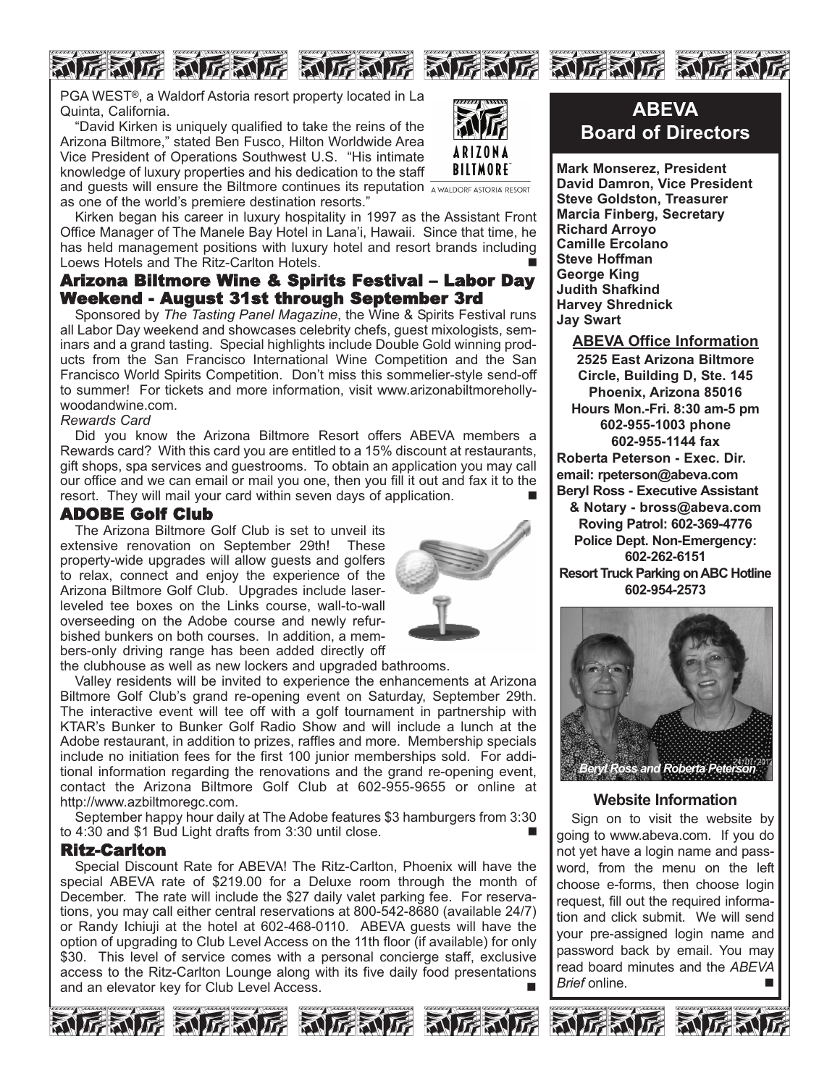# FALE ALEACE ALEACE ALEACE ALEACE ALEA



PGA WEST®, a Waldorf Astoria resort property located in La Quinta, California.

"David Kirken is uniquely qualified to take the reins of the Arizona Biltmore," stated Ben Fusco, Hilton Worldwide Area Vice President of Operations Southwest U.S. "His intimate knowledge of luxury properties and his dedication to the staff



and guests will ensure the Biltmore continues its reputation **AWALDORF ASTORIA RESORT** as one of the world's premiere destination resorts."

Kirken began his career in luxury hospitality in 1997 as the Assistant Front Office Manager of The Manele Bay Hotel in Lana'i, Hawaii. Since that time, he has held management positions with luxury hotel and resort brands including Loews Hotels and The Ritz-Carlton Hotels.

# Arizona Biltmore Wine & Spirits Festival – Labor Day Weekend - August 31st through September 3rd

Sponsored by *The Tasting Panel Magazine*, the Wine & Spirits Festival runs all Labor Day weekend and showcases celebrity chefs, guest mixologists, seminars and a grand tasting. Special highlights include Double Gold winning products from the San Francisco International Wine Competition and the San Francisco World Spirits Competition. Don't miss this sommelier-style send-off to summer! For tickets and more information, visit www.arizonabiltmorehollywoodandwine.com.

#### *Rewards Card*

Did you know the Arizona Biltmore Resort offers ABEVA members a Rewards card? With this card you are entitled to a 15% discount at restaurants, gift shops, spa services and guestrooms. To obtain an application you may call our office and we can email or mail you one, then you fill it out and fax it to the resort. They will mail your card within seven days of application.

## ADOBE Golf Club

The Arizona Biltmore Golf Club is set to unveil its extensive renovation on September 29th! These property-wide upgrades will allow guests and golfers to relax, connect and enjoy the experience of the Arizona Biltmore Golf Club. Upgrades include laserleveled tee boxes on the Links course, wall-to-wall overseeding on the Adobe course and newly refurbished bunkers on both courses. In addition, a members-only driving range has been added directly off



the clubhouse as well as new lockers and upgraded bathrooms.

Valley residents will be invited to experience the enhancements at Arizona Biltmore Golf Club's grand re-opening event on Saturday, September 29th. The interactive event will tee off with a golf tournament in partnership with KTAR's Bunker to Bunker Golf Radio Show and will include a lunch at the Adobe restaurant, in addition to prizes, raffles and more. Membership specials include no initiation fees for the first 100 junior memberships sold. For additional information regarding the renovations and the grand re-opening event, contact the Arizona Biltmore Golf Club at 602-955-9655 or online at http://www.azbiltmoregc.com.

September happy hour daily at The Adobe features \$3 hamburgers from 3:30 to 4:30 and \$1 Bud Light drafts from 3:30 until close.

## Ritz-Carlton

Special Discount Rate for ABEVA! The Ritz-Carlton, Phoenix will have the special ABEVA rate of \$219.00 for a Deluxe room through the month of December. The rate will include the \$27 daily valet parking fee. For reservations, you may call either central reservations at 800-542-8680 (available 24/7) or Randy Ichiuji at the hotel at 602-468-0110. ABEVA guests will have the option of upgrading to Club Level Access on the 11th floor (if available) for only \$30. This level of service comes with a personal concierge staff, exclusive access to the Ritz-Carlton Lounge along with its five daily food presentations and an elevator key for Club Level Access.



# **ABEVA Board of Directors**

**Mark Monserez, President David Damron, Vice President Steve Goldston, Treasurer Marcia Finberg, Secretary Richard Arroyo Camille Ercolano Steve Hoffman George King Judith Shafkind Harvey Shrednick Jay Swart**

**ABEVA Office Information 2525 East Arizona Biltmore Circle, Building D, Ste. 145 Phoenix, Arizona 85016 Hours Mon.-Fri. 8:30 am-5 pm 602-955-1003 phone 602-955-1144 fax Roberta Peterson - Exec. Dir. email: rpeterson@abeva.com Beryl Ross - Executive Assistant & Notary - bross@abeva.com Roving Patrol: 602-369-4776 Police Dept. Non-Emergency: 602-262-6151 Resort Truck Parking on ABC Hotline 602-954-2573**



## **Website Information**

Sign on to visit the website by going to www.abeva.com. If you do not yet have a login name and password, from the menu on the left choose e-forms, then choose login request, fill out the required information and click submit. We will send your pre-assigned login name and password back by email. You may read board minutes and the *ABEVA Brief* online. n